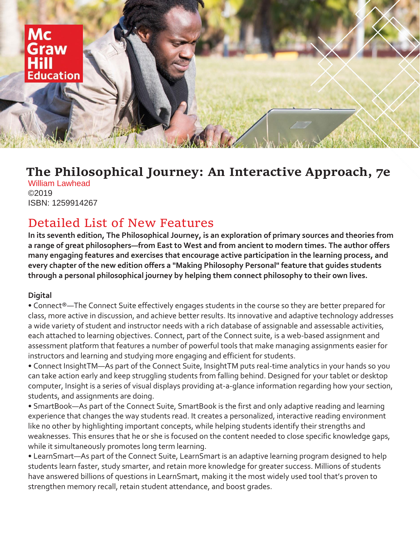

## **The Philosophical Journey: An Interactive Approach, 7e**

William Lawhead ©2019 ISBN: 1259914267

## Detailed List of New Features

**In its seventh edition, The Philosophical Journey, is an exploration of primary sources and theories from a range of great philosophers—from East to West and from ancient to modern times. The author offers many engaging features and exercises that encourage active participation in the learning process, and every chapter of the new edition offers a "Making Philosophy Personal" feature that guides students through a personal philosophical journey by helping them connect philosophy to their own lives.**

## **Digital**

• Connect®—The Connect Suite effectively engages students in the course so they are better prepared for class, more active in discussion, and achieve better results. Its innovative and adaptive technology addresses a wide variety of student and instructor needs with a rich database of assignable and assessable activities, each attached to learning objectives. Connect, part of the Connect suite, is a web-based assignment and assessment platform that features a number of powerful tools that make managing assignments easier for instructors and learning and studying more engaging and efficient for students.

• Connect InsightTM—As part of the Connect Suite, InsightTM puts real-time analytics in your hands so you can take action early and keep struggling students from falling behind. Designed for your tablet or desktop computer, Insight is a series of visual displays providing at-a-glance information regarding how your section, students, and assignments are doing.

• SmartBook—As part of the Connect Suite, SmartBook is the first and only adaptive reading and learning experience that changes the way students read. It creates a personalized, interactive reading environment like no other by highlighting important concepts, while helping students identify their strengths and weaknesses. This ensures that he or she is focused on the content needed to close specific knowledge gaps, while it simultaneously promotes long term learning.

• LearnSmart—As part of the Connect Suite, LearnSmart is an adaptive learning program designed to help students learn faster, study smarter, and retain more knowledge for greater success. Millions of students have answered billions of questions in LearnSmart, making it the most widely used tool that's proven to strengthen memory recall, retain student attendance, and boost grades.